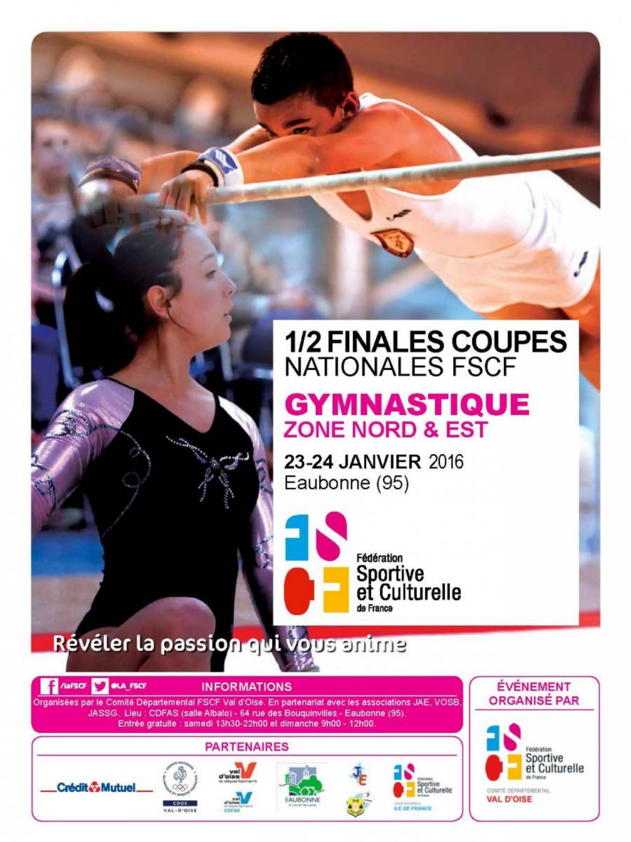# **1/2 FINALES COUPES<br>NATIONALES FSCF**

# **GYMNASTIQUE ZONE NORD & EST**

23-24 JANVIER 2016 Eaubonne (95)

> Fédération Sportive<br>et Culturelle de France

> > **ILE DE FRANCE**

COMITÉ DÉPARTEMENTAL **VAL D'OISE** 

Révéler la passion qui vous anime

VAL-D'OISE



AUBONN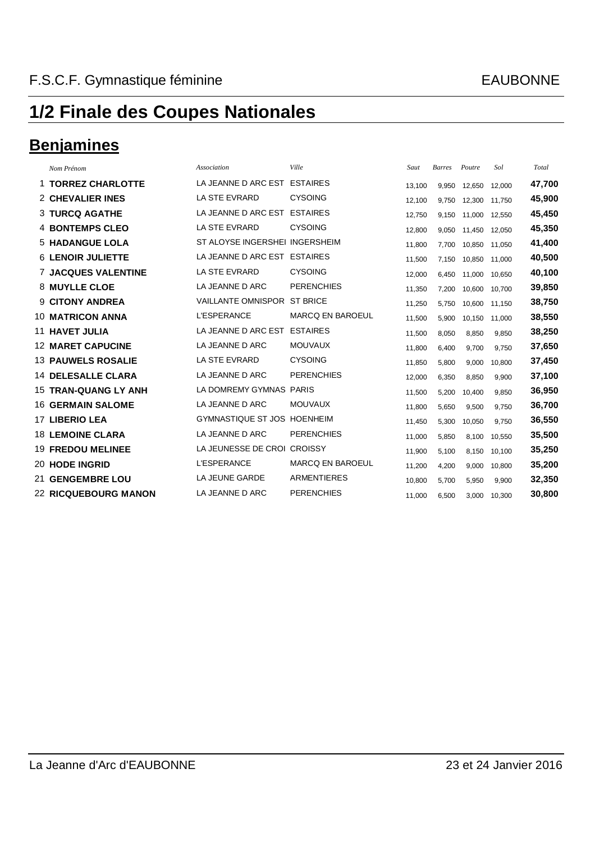### **Benjamines**

|     | Nom Prénom                  | Association                        | Ville                   | Saut   | <b>Barres</b> | Poutre | Sol    | Total  |
|-----|-----------------------------|------------------------------------|-------------------------|--------|---------------|--------|--------|--------|
|     | 1 TORREZ CHARLOTTE          | LA JEANNE D ARC EST                | <b>ESTAIRES</b>         | 13,100 | 9,950         | 12,650 | 12,000 | 47,700 |
|     | <b>2 CHEVALIER INES</b>     | LA STE EVRARD                      | <b>CYSOING</b>          | 12,100 | 9,750         | 12,300 | 11,750 | 45,900 |
|     | <b>3 TURCQ AGATHE</b>       | LA JEANNE D ARC EST                | <b>ESTAIRES</b>         | 12,750 | 9,150         | 11,000 | 12,550 | 45,450 |
|     | <b>4 BONTEMPS CLEO</b>      | LA STE EVRARD                      | <b>CYSOING</b>          | 12,800 | 9,050         | 11,450 | 12,050 | 45,350 |
|     | <b>5 HADANGUE LOLA</b>      | ST ALOYSE INGERSHEI INGERSHEIM     |                         | 11,800 | 7,700         | 10,850 | 11,050 | 41,400 |
|     | <b>6 LENOIR JULIETTE</b>    | LA JEANNE D ARC EST                | <b>ESTAIRES</b>         | 11,500 | 7,150         | 10,850 | 11,000 | 40,500 |
|     | <b>7 JACQUES VALENTINE</b>  | LA STE EVRARD                      | <b>CYSOING</b>          | 12,000 | 6,450         | 11,000 | 10,650 | 40,100 |
|     | <b>8 MUYLLE CLOE</b>        | LA JEANNE D ARC                    | <b>PERENCHIES</b>       | 11,350 | 7,200         | 10,600 | 10,700 | 39,850 |
|     | 9 CITONY ANDREA             | <b>VAILLANTE OMNISPOR</b>          | <b>ST BRICE</b>         | 11,250 | 5,750         | 10,600 | 11,150 | 38,750 |
|     | <b>10 MATRICON ANNA</b>     | <b>L'ESPERANCE</b>                 | <b>MARCQ EN BAROEUL</b> | 11,500 | 5,900         | 10,150 | 11,000 | 38,550 |
|     | <b>11 HAVET JULIA</b>       | LA JEANNE D ARC EST                | <b>ESTAIRES</b>         | 11,500 | 8,050         | 8,850  | 9,850  | 38,250 |
|     | <b>12 MARET CAPUCINE</b>    | LA JEANNE D ARC                    | <b>MOUVAUX</b>          | 11,800 | 6,400         | 9,700  | 9,750  | 37,650 |
|     | <b>13 PAUWELS ROSALIE</b>   | <b>LA STE EVRARD</b>               | <b>CYSOING</b>          | 11,850 | 5,800         | 9,000  | 10,800 | 37,450 |
|     | <b>14 DELESALLE CLARA</b>   | LA JEANNE D ARC                    | <b>PERENCHIES</b>       | 12,000 | 6,350         | 8,850  | 9,900  | 37,100 |
|     | <b>15 TRAN-QUANG LY ANH</b> | LA DOMREMY GYMNAS PARIS            |                         | 11,500 | 5,200         | 10,400 | 9,850  | 36,950 |
|     | <b>16 GERMAIN SALOME</b>    | LA JEANNE D ARC                    | <b>MOUVAUX</b>          | 11,800 | 5,650         | 9,500  | 9,750  | 36,700 |
|     | <b>17 LIBERIO LEA</b>       | <b>GYMNASTIQUE ST JOS HOENHEIM</b> |                         | 11,450 | 5,300         | 10,050 | 9,750  | 36,550 |
|     | <b>18 LEMOINE CLARA</b>     | LA JEANNE D ARC                    | <b>PERENCHIES</b>       | 11,000 | 5,850         | 8,100  | 10,550 | 35,500 |
|     | <b>19 FREDOU MELINEE</b>    | LA JEUNESSE DE CROI CROISSY        |                         | 11,900 | 5,100         | 8,150  | 10,100 | 35,250 |
|     | <b>20 HODE INGRID</b>       | <b>L'ESPERANCE</b>                 | <b>MARCQ EN BAROEUL</b> | 11,200 | 4,200         | 9,000  | 10,800 | 35,200 |
| 21. | <b>GENGEMBRE LOU</b>        | <b>LA JEUNE GARDE</b>              | <b>ARMENTIERES</b>      | 10,800 | 5,700         | 5,950  | 9,900  | 32,350 |
|     | <b>22 RICQUEBOURG MANON</b> | LA JEANNE D ARC                    | <b>PERENCHIES</b>       | 11,000 | 6,500         | 3,000  | 10,300 | 30,800 |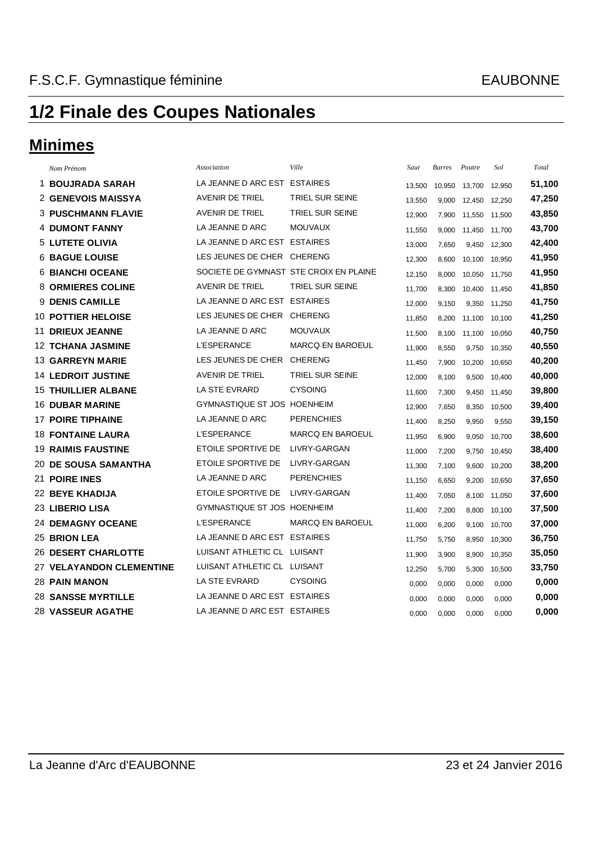### **Minimes**

|   | Nom Prénom                      | Association                            | Ville                   | Saut   | <b>Barres</b> | Poutre | Sol    | Total  |
|---|---------------------------------|----------------------------------------|-------------------------|--------|---------------|--------|--------|--------|
|   | 1 BOUJRADA SARAH                | LA JEANNE D ARC EST ESTAIRES           |                         | 13,500 | 10,950        | 13,700 | 12,950 | 51,100 |
|   | <b>2 GENEVOIS MAISSYA</b>       | <b>AVENIR DE TRIEL</b>                 | TRIEL SUR SEINE         | 13,550 | 9,000         | 12,450 | 12,250 | 47,250 |
|   | <b>3 PUSCHMANN FLAVIE</b>       | <b>AVENIR DE TRIEL</b>                 | TRIEL SUR SEINE         | 12,900 | 7,900         | 11,550 | 11,500 | 43,850 |
|   | <b>4 DUMONT FANNY</b>           | LA JEANNE D ARC                        | <b>MOUVAUX</b>          | 11.550 | 9,000         | 11,450 | 11.700 | 43,700 |
|   | <b>5 LUTETE OLIVIA</b>          | LA JEANNE D ARC EST ESTAIRES           |                         | 13,000 | 7,650         | 9,450  | 12,300 | 42,400 |
|   | <b>6 BAGUE LOUISE</b>           | LES JEUNES DE CHER CHERENG             |                         | 12,300 | 8,600         | 10,100 | 10,950 | 41,950 |
|   | <b>6 BIANCHI OCEANE</b>         | SOCIETE DE GYMNAST STE CROIX EN PLAINE |                         | 12,150 | 8,000         | 10,050 | 11,750 | 41,950 |
|   | <b>8 ORMIERES COLINE</b>        | <b>AVENIR DE TRIEL</b>                 | TRIEL SUR SEINE         | 11,700 | 8,300         | 10,400 | 11,450 | 41,850 |
| 9 | <b>DENIS CAMILLE</b>            | LA JEANNE D ARC EST                    | <b>ESTAIRES</b>         | 12,000 | 9,150         | 9,350  | 11,250 | 41,750 |
|   | <b>10 POTTIER HELOISE</b>       | LES JEUNES DE CHER                     | <b>CHERENG</b>          | 11,850 | 8,200         | 11,100 | 10,100 | 41,250 |
|   | <b>11 DRIEUX JEANNE</b>         | LA JEANNE D ARC                        | <b>MOUVAUX</b>          | 11,500 | 8,100         | 11,100 | 10,050 | 40,750 |
|   | <b>12 TCHANA JASMINE</b>        | <b>L'ESPERANCE</b>                     | <b>MARCQ EN BAROEUL</b> | 11,900 | 8,550         | 9,750  | 10,350 | 40,550 |
|   | <b>13 GARREYN MARIE</b>         | LES JEUNES DE CHER                     | <b>CHERENG</b>          | 11,450 | 7,900         | 10,200 | 10,650 | 40,200 |
|   | <b>14 LEDROIT JUSTINE</b>       | <b>AVENIR DE TRIEL</b>                 | TRIEL SUR SEINE         | 12,000 | 8,100         | 9,500  | 10,400 | 40,000 |
|   | <b>15 THUILLIER ALBANE</b>      | LA STE EVRARD                          | <b>CYSOING</b>          | 11,600 | 7,300         | 9,450  | 11,450 | 39,800 |
|   | <b>16 DUBAR MARINE</b>          | <b>GYMNASTIQUE ST JOS HOENHEIM</b>     |                         | 12,900 | 7,650         | 8,350  | 10,500 | 39,400 |
|   | <b>17 POIRE TIPHAINE</b>        | LA JEANNE D ARC                        | <b>PERENCHIES</b>       | 11,400 | 8,250         | 9,950  | 9,550  | 39,150 |
|   | <b>18 FONTAINE LAURA</b>        | <b>L'ESPERANCE</b>                     | <b>MARCQ EN BAROEUL</b> | 11,950 | 6,900         | 9,050  | 10,700 | 38,600 |
|   | <b>19 RAIMIS FAUSTINE</b>       | ETOILE SPORTIVE DE                     | LIVRY-GARGAN            | 11,000 | 7,200         | 9,750  | 10,450 | 38,400 |
|   | <b>20 DE SOUSA SAMANTHA</b>     | ETOILE SPORTIVE DE                     | LIVRY-GARGAN            | 11,300 | 7,100         | 9,600  | 10,200 | 38,200 |
|   | 21 POIRE INES                   | LA JEANNE D ARC                        | <b>PERENCHIES</b>       | 11,150 | 6,650         | 9,200  | 10,650 | 37,650 |
|   | <b>22 BEYE KHADIJA</b>          | ETOILE SPORTIVE DE                     | LIVRY-GARGAN            | 11,400 | 7,050         | 8,100  | 11,050 | 37,600 |
|   | 23 LIBERIO LISA                 | <b>GYMNASTIQUE ST JOS HOENHEIM</b>     |                         | 11,400 | 7,200         | 8,800  | 10,100 | 37,500 |
|   | <b>24 DEMAGNY OCEANE</b>        | <b>L'ESPERANCE</b>                     | MARCQ EN BAROEUL        | 11,000 | 6,200         | 9,100  | 10,700 | 37,000 |
|   | <b>25 BRION LEA</b>             | LA JEANNE D ARC EST ESTAIRES           |                         | 11,750 | 5,750         | 8,950  | 10,300 | 36,750 |
|   | <b>26 DESERT CHARLOTTE</b>      | LUISANT ATHLETIC CL LUISANT            |                         | 11,900 | 3,900         | 8,900  | 10,350 | 35,050 |
|   | <b>27 VELAYANDON CLEMENTINE</b> | LUISANT ATHLETIC CL LUISANT            |                         | 12,250 | 5,700         | 5,300  | 10,500 | 33,750 |
|   | <b>28 PAIN MANON</b>            | LA STE EVRARD                          | <b>CYSOING</b>          | 0,000  | 0,000         | 0,000  | 0,000  | 0,000  |
|   | <b>28 SANSSE MYRTILLE</b>       | LA JEANNE D ARC EST ESTAIRES           |                         | 0,000  | 0,000         | 0,000  | 0,000  | 0,000  |
|   | <b>28 VASSEUR AGATHE</b>        | LA JEANNE D ARC EST ESTAIRES           |                         | 0,000  | 0,000         | 0,000  | 0,000  | 0,000  |
|   |                                 |                                        |                         |        |               |        |        |        |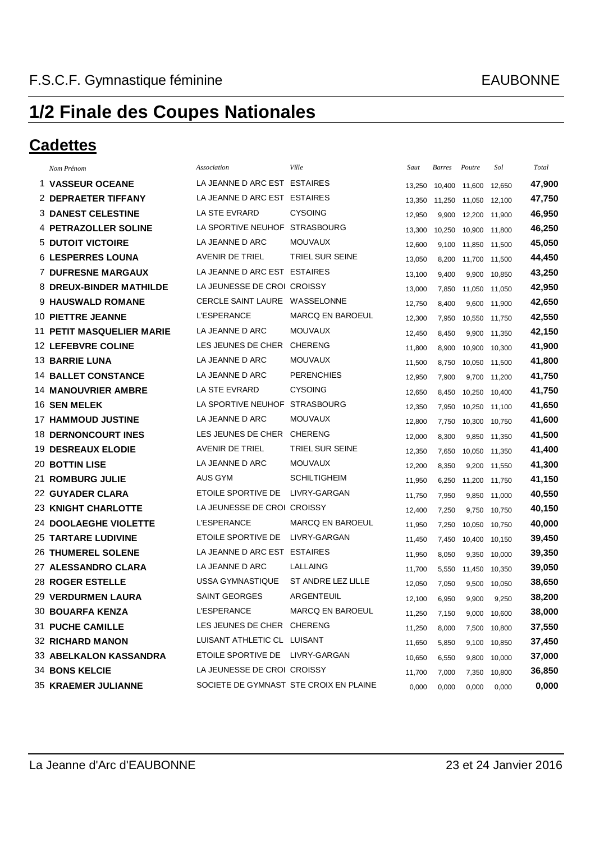#### **Cadettes**

| Nom Prénom                       | Association                            | Ville                   | Saut   | <b>Barres</b> | Poutre        | Sol    | Total  |
|----------------------------------|----------------------------------------|-------------------------|--------|---------------|---------------|--------|--------|
| <b>1 VASSEUR OCEANE</b>          | LA JEANNE D ARC EST ESTAIRES           |                         | 13,250 | 10,400        | 11,600        | 12,650 | 47,900 |
| <b>2 DEPRAETER TIFFANY</b>       | LA JEANNE D ARC EST ESTAIRES           |                         | 13,350 | 11,250        | 11,050        | 12,100 | 47,750 |
| <b>3 DANEST CELESTINE</b>        | LA STE EVRARD                          | <b>CYSOING</b>          | 12,950 | 9,900         | 12,200        | 11,900 | 46,950 |
| <b>4 PETRAZOLLER SOLINE</b>      | LA SPORTIVE NEUHOF                     | <b>STRASBOURG</b>       | 13,300 | 10,250        | 10,900        | 11,800 | 46,250 |
| <b>5 DUTOIT VICTOIRE</b>         | LA JEANNE D ARC                        | <b>MOUVAUX</b>          | 12,600 | 9,100         | 11,850        | 11,500 | 45,050 |
| <b>6 LESPERRES LOUNA</b>         | <b>AVENIR DE TRIEL</b>                 | TRIEL SUR SEINE         | 13,050 | 8,200         | 11,700        | 11,500 | 44,450 |
| <b>7 DUFRESNE MARGAUX</b>        | LA JEANNE D ARC EST                    | <b>ESTAIRES</b>         | 13,100 | 9,400         | 9,900         | 10,850 | 43,250 |
| 8 DREUX-BINDER MATHILDE          | LA JEUNESSE DE CROI CROISSY            |                         | 13,000 | 7,850         | 11,050        | 11,050 | 42,950 |
| <b>9 HAUSWALD ROMANE</b>         | <b>CERCLE SAINT LAURE</b>              | WASSELONNE              | 12,750 | 8,400         | 9,600 11,900  |        | 42,650 |
| <b>10 PIETTRE JEANNE</b>         | <b>L'ESPERANCE</b>                     | <b>MARCQ EN BAROEUL</b> | 12,300 | 7,950         | 10,550 11,750 |        | 42,550 |
| <b>11 PETIT MASQUELIER MARIE</b> | LA JEANNE D ARC                        | <b>MOUVAUX</b>          | 12,450 | 8,450         | 9,900         | 11,350 | 42,150 |
| <b>12 LEFEBVRE COLINE</b>        | LES JEUNES DE CHER                     | <b>CHERENG</b>          | 11,800 | 8,900         | 10,900        | 10,300 | 41,900 |
| <b>13 BARRIE LUNA</b>            | LA JEANNE D ARC                        | <b>MOUVAUX</b>          | 11,500 | 8,750         | 10,050 11,500 |        | 41,800 |
| <b>14 BALLET CONSTANCE</b>       | LA JEANNE D ARC                        | <b>PERENCHIES</b>       | 12,950 | 7,900         | 9,700         | 11,200 | 41,750 |
| <b>14 MANOUVRIER AMBRE</b>       | <b>LA STE EVRARD</b>                   | <b>CYSOING</b>          | 12,650 | 8,450         | 10,250        | 10,400 | 41,750 |
| 16 SEN MELEK                     | LA SPORTIVE NEUHOF                     | <b>STRASBOURG</b>       | 12,350 | 7,950         | 10,250        | 11,100 | 41,650 |
| <b>17 HAMMOUD JUSTINE</b>        | LA JEANNE D ARC                        | <b>MOUVAUX</b>          | 12,800 | 7,750         | 10,300        | 10,750 | 41,600 |
| <b>18 DERNONCOURT INES</b>       | LES JEUNES DE CHER                     | <b>CHERENG</b>          | 12,000 | 8,300         | 9,850         | 11,350 | 41,500 |
| <b>19 DESREAUX ELODIE</b>        | <b>AVENIR DE TRIEL</b>                 | <b>TRIEL SUR SEINE</b>  | 12,350 | 7,650         | 10,050        | 11,350 | 41,400 |
| <b>20 BOTTIN LISE</b>            | LA JEANNE D ARC                        | <b>MOUVAUX</b>          | 12,200 | 8,350         | 9,200         | 11,550 | 41,300 |
| <b>21 ROMBURG JULIE</b>          | AUS GYM                                | <b>SCHILTIGHEIM</b>     | 11,950 | 6,250         | 11,200 11,750 |        | 41,150 |
| <b>22 GUYADER CLARA</b>          | ETOILE SPORTIVE DE                     | LIVRY-GARGAN            | 11,750 | 7,950         | 9,850         | 11,000 | 40,550 |
| <b>23 KNIGHT CHARLOTTE</b>       | LA JEUNESSE DE CROI CROISSY            |                         | 12,400 | 7,250         | 9,750         | 10,750 | 40,150 |
| 24 DOOLAEGHE VIOLETTE            | <b>L'ESPERANCE</b>                     | <b>MARCQ EN BAROEUL</b> | 11,950 | 7,250         | 10,050        | 10,750 | 40,000 |
| <b>25 TARTARE LUDIVINE</b>       | ETOILE SPORTIVE DE                     | LIVRY-GARGAN            | 11,450 | 7,450         | 10,400        | 10,150 | 39,450 |
| <b>26 THUMEREL SOLENE</b>        | LA JEANNE D ARC EST ESTAIRES           |                         | 11,950 | 8,050         | 9,350         | 10,000 | 39,350 |
| 27 ALESSANDRO CLARA              | LA JEANNE D ARC                        | LALLAING                | 11,700 | 5,550         | 11,450        | 10,350 | 39,050 |
| <b>28 ROGER ESTELLE</b>          | <b>USSA GYMNASTIQUE</b>                | ST ANDRE LEZ LILLE      | 12,050 | 7,050         | 9,500         | 10,050 | 38,650 |
| <b>29 VERDURMEN LAURA</b>        | <b>SAINT GEORGES</b>                   | ARGENTEUIL              | 12,100 | 6,950         | 9,900         | 9,250  | 38,200 |
| 30 BOUARFA KENZA                 | <b>L'ESPERANCE</b>                     | <b>MARCQ EN BAROEUL</b> | 11,250 | 7,150         | 9,000 10,600  |        | 38,000 |
| <b>31 PUCHE CAMILLE</b>          | LES JEUNES DE CHER CHERENG             |                         | 11,250 | 8,000         | 7,500 10,800  |        | 37,550 |
| <b>32 RICHARD MANON</b>          | LUISANT ATHLETIC CL LUISANT            |                         | 11,650 | 5,850         | 9,100 10,850  |        | 37,450 |
| <b>33 ABELKALON KASSANDRA</b>    | ETOILE SPORTIVE DE LIVRY-GARGAN        |                         | 10,650 | 6,550         | 9,800 10,000  |        | 37,000 |
| <b>34 BONS KELCIE</b>            | LA JEUNESSE DE CROI CROISSY            |                         | 11,700 | 7,000         | 7,350 10,800  |        | 36,850 |
| <b>35 KRAEMER JULIANNE</b>       | SOCIETE DE GYMNAST STE CROIX EN PLAINE |                         | 0,000  | 0,000         | 0,000         | 0,000  | 0,000  |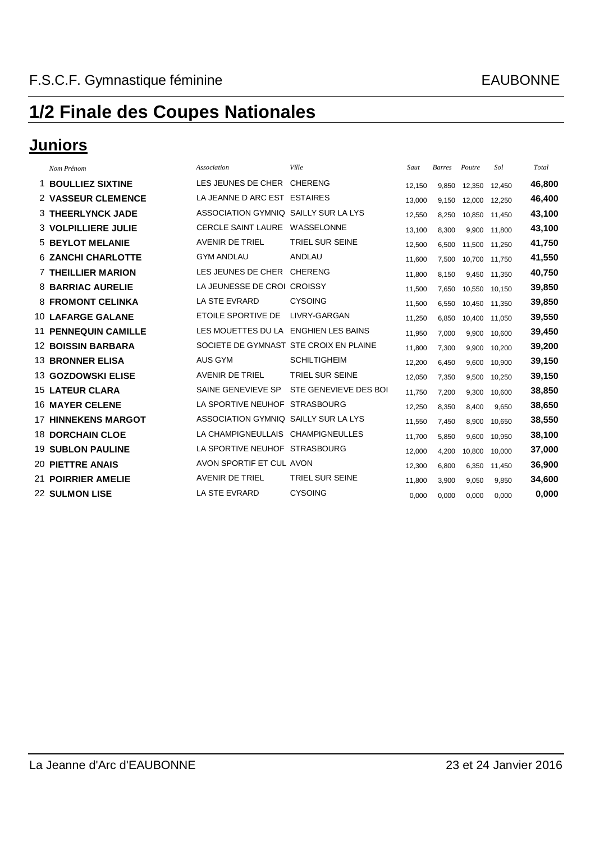### **Juniors**

|    | Nom Prénom                  | Association                            | Ville                    | Saut   | <b>Barres</b> | Poutre | Sol    | Total  |
|----|-----------------------------|----------------------------------------|--------------------------|--------|---------------|--------|--------|--------|
| 1. | <b>BOULLIEZ SIXTINE</b>     | LES JEUNES DE CHER                     | <b>CHERENG</b>           | 12.150 | 9,850         | 12,350 | 12.450 | 46,800 |
|    | <b>2 VASSEUR CLEMENCE</b>   | LA JEANNE D ARC EST ESTAIRES           |                          | 13,000 | 9,150         | 12.000 | 12,250 | 46,400 |
|    | <b>3 THEERLYNCK JADE</b>    | ASSOCIATION GYMNIQ SAILLY SUR LA LYS   |                          | 12,550 | 8,250         | 10,850 | 11.450 | 43,100 |
|    | <b>3 VOLPILLIERE JULIE</b>  | <b>CERCLE SAINT LAURE</b>              | WASSELONNE               | 13,100 | 8,300         | 9,900  | 11.800 | 43,100 |
|    | <b>5 BEYLOT MELANIE</b>     | <b>AVENIR DE TRIEL</b>                 | <b>TRIEL SUR SEINE</b>   | 12,500 | 6,500         | 11.500 | 11.250 | 41,750 |
|    | <b>6 ZANCHI CHARLOTTE</b>   | <b>GYM ANDLAU</b>                      | <b>ANDLAU</b>            | 11.600 | 7,500         | 10,700 | 11.750 | 41,550 |
|    | <b>7 THEILLIER MARION</b>   | LES JEUNES DE CHER                     | <b>CHERENG</b>           | 11,800 | 8,150         | 9.450  | 11.350 | 40,750 |
|    | <b>8 BARRIAC AURELIE</b>    | LA JEUNESSE DE CROI CROISSY            |                          | 11,500 | 7,650         | 10,550 | 10.150 | 39,850 |
|    | <b>8 FROMONT CELINKA</b>    | LA STE EVRARD                          | <b>CYSOING</b>           | 11,500 | 6,550         | 10,450 | 11,350 | 39,850 |
|    | <b>10 LAFARGE GALANE</b>    | ETOILE SPORTIVE DE                     | LIVRY-GARGAN             | 11,250 | 6,850         | 10,400 | 11.050 | 39,550 |
|    | <b>11 PENNEQUIN CAMILLE</b> | LES MOUETTES DU LA                     | <b>ENGHIEN LES BAINS</b> | 11,950 | 7,000         | 9,900  | 10.600 | 39,450 |
|    | <b>12 BOISSIN BARBARA</b>   | SOCIETE DE GYMNAST STE CROIX EN PLAINE |                          | 11,800 | 7,300         | 9,900  | 10,200 | 39,200 |
|    | <b>13 BRONNER ELISA</b>     | <b>AUS GYM</b>                         | <b>SCHILTIGHEIM</b>      | 12,200 | 6,450         | 9,600  | 10.900 | 39,150 |
|    | 13 GOZDOWSKI ELISE          | <b>AVENIR DE TRIEL</b>                 | TRIEL SUR SEINE          | 12,050 | 7,350         | 9,500  | 10,250 | 39,150 |
|    | <b>15 LATEUR CLARA</b>      | SAINE GENEVIEVE SP                     | STE GENEVIEVE DES BOI    | 11,750 | 7,200         | 9,300  | 10.600 | 38,850 |
|    | <b>16 MAYER CELENE</b>      | LA SPORTIVE NEUHOF                     | <b>STRASBOURG</b>        | 12,250 | 8,350         | 8,400  | 9,650  | 38,650 |
|    | <b>17 HINNEKENS MARGOT</b>  | ASSOCIATION GYMNIQ SAILLY SUR LA LYS   |                          | 11,550 | 7,450         | 8,900  | 10,650 | 38,550 |
|    | <b>18 DORCHAIN CLOE</b>     | LA CHAMPIGNEULLAIS CHAMPIGNEULLES      |                          | 11.700 | 5,850         | 9.600  | 10.950 | 38,100 |
|    | <b>19 SUBLON PAULINE</b>    | LA SPORTIVE NEUHOF STRASBOURG          |                          | 12,000 | 4,200         | 10,800 | 10.000 | 37,000 |
|    | <b>20 PIETTRE ANAIS</b>     | AVON SPORTIF ET CUL AVON               |                          | 12,300 | 6,800         | 6,350  | 11,450 | 36,900 |
|    | <b>21 POIRRIER AMELIE</b>   | <b>AVENIR DE TRIEL</b>                 | <b>TRIEL SUR SEINE</b>   | 11,800 | 3,900         | 9,050  | 9,850  | 34,600 |
|    | <b>22 SULMON LISE</b>       | LA STE EVRARD                          | <b>CYSOING</b>           | 0,000  | 0,000         | 0,000  | 0,000  | 0,000  |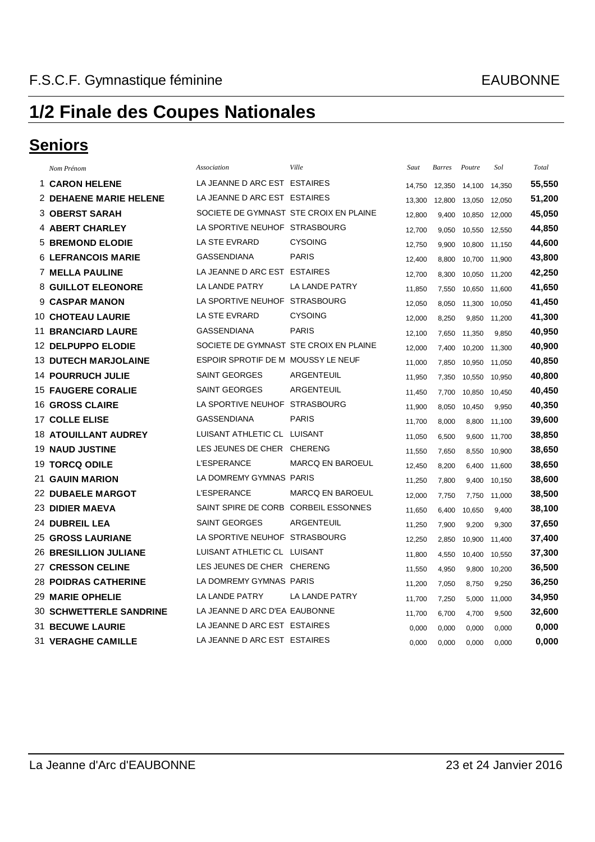### **Seniors**

|    | Nom Prénom                     | Association                            | Ville                   | Saut   | <b>Barres</b> | Poutre | Sol    | Total  |
|----|--------------------------------|----------------------------------------|-------------------------|--------|---------------|--------|--------|--------|
|    | <b>1 CARON HELENE</b>          | LA JEANNE D ARC EST ESTAIRES           |                         | 14.750 | 12,350        | 14.100 | 14,350 | 55,550 |
|    | <b>2 DEHAENE MARIE HELENE</b>  | LA JEANNE D ARC EST ESTAIRES           |                         | 13,300 | 12,800        | 13,050 | 12,050 | 51,200 |
|    | <b>3 OBERST SARAH</b>          | SOCIETE DE GYMNAST STE CROIX EN PLAINE |                         | 12,800 | 9,400         | 10,850 | 12,000 | 45,050 |
|    | <b>4 ABERT CHARLEY</b>         | LA SPORTIVE NEUHOF STRASBOURG          |                         | 12,700 | 9,050         | 10,550 | 12,550 | 44,850 |
|    | <b>5 BREMOND ELODIE</b>        | <b>LA STE EVRARD</b>                   | <b>CYSOING</b>          | 12,750 | 9,900         | 10,800 | 11,150 | 44,600 |
|    | <b>6 LEFRANCOIS MARIE</b>      | <b>GASSENDIANA</b>                     | <b>PARIS</b>            | 12,400 | 8,800         | 10,700 | 11,900 | 43,800 |
|    | <b>7 MELLA PAULINE</b>         | LA JEANNE D ARC EST                    | <b>ESTAIRES</b>         | 12,700 | 8,300         | 10,050 | 11,200 | 42,250 |
|    | <b>8 GUILLOT ELEONORE</b>      | <b>LA LANDE PATRY</b>                  | LA LANDE PATRY          | 11,850 | 7,550         | 10,650 | 11,600 | 41,650 |
|    | <b>CASPAR MANON</b>            | LA SPORTIVE NEUHOF                     | <b>STRASBOURG</b>       | 12,050 | 8,050         | 11,300 | 10,050 | 41,450 |
|    | <b>10 CHOTEAU LAURIE</b>       | LA STE EVRARD                          | <b>CYSOING</b>          | 12.000 | 8,250         | 9,850  | 11,200 | 41,300 |
| 11 | <b>BRANCIARD LAURE</b>         | <b>GASSENDIANA</b>                     | <b>PARIS</b>            | 12,100 | 7,650         | 11,350 | 9,850  | 40,950 |
|    | 12 DELPUPPO ELODIE             | SOCIETE DE GYMNAST STE CROIX EN PLAINE |                         | 12,000 | 7,400         | 10,200 | 11,300 | 40,900 |
|    | <b>13 DUTECH MARJOLAINE</b>    | ESPOIR SPROTIF DE M MOUSSY LE NEUF     |                         | 11,000 | 7,850         | 10,950 | 11,050 | 40,850 |
|    | <b>14 POURRUCH JULIE</b>       | <b>SAINT GEORGES</b>                   | <b>ARGENTEUIL</b>       | 11,950 | 7,350         | 10,550 | 10,950 | 40,800 |
|    | <b>15 FAUGERE CORALIE</b>      | <b>SAINT GEORGES</b>                   | ARGENTEUIL              | 11,450 | 7,700         | 10,850 | 10,450 | 40,450 |
|    | <b>16 GROSS CLAIRE</b>         | LA SPORTIVE NEUHOF STRASBOURG          |                         | 11,900 | 8,050         | 10,450 | 9,950  | 40,350 |
|    | <b>17 COLLE ELISE</b>          | <b>GASSENDIANA</b>                     | <b>PARIS</b>            | 11,700 | 8,000         | 8,800  | 11,100 | 39,600 |
|    | <b>18 ATOUILLANT AUDREY</b>    | LUISANT ATHLETIC CL LUISANT            |                         | 11,050 | 6,500         | 9,600  | 11,700 | 38,850 |
|    | <b>19 NAUD JUSTINE</b>         | LES JEUNES DE CHER CHERENG             |                         | 11,550 | 7,650         | 8,550  | 10,900 | 38,650 |
|    | <b>19 TORCQ ODILE</b>          | <b>L'ESPERANCE</b>                     | <b>MARCQ EN BAROEUL</b> | 12,450 | 8,200         | 6,400  | 11,600 | 38,650 |
|    | 21 GAUIN MARION                | LA DOMREMY GYMNAS PARIS                |                         | 11,250 | 7,800         | 9,400  | 10,150 | 38,600 |
|    | <b>22 DUBAELE MARGOT</b>       | <b>L'ESPERANCE</b>                     | <b>MARCQ EN BAROEUL</b> | 12,000 | 7,750         | 7,750  | 11,000 | 38,500 |
|    | <b>23 DIDIER MAEVA</b>         | SAINT SPIRE DE CORB CORBEIL ESSONNES   |                         | 11,650 | 6,400         | 10,650 | 9,400  | 38,100 |
|    | 24 DUBREIL LEA                 | <b>SAINT GEORGES</b>                   | <b>ARGENTEUIL</b>       | 11,250 | 7,900         | 9,200  | 9,300  | 37,650 |
|    | <b>25 GROSS LAURIANE</b>       | LA SPORTIVE NEUHOF STRASBOURG          |                         | 12,250 | 2,850         | 10,900 | 11,400 | 37,400 |
|    | <b>26 BRESILLION JULIANE</b>   | LUISANT ATHLETIC CL LUISANT            |                         | 11,800 | 4,550         | 10,400 | 10,550 | 37,300 |
|    | <b>27 CRESSON CELINE</b>       | LES JEUNES DE CHER CHERENG             |                         | 11,550 | 4,950         | 9,800  | 10,200 | 36,500 |
|    | <b>28 POIDRAS CATHERINE</b>    | LA DOMREMY GYMNAS PARIS                |                         | 11,200 | 7,050         | 8,750  | 9,250  | 36,250 |
|    | <b>29 MARIE OPHELIE</b>        | <b>LA LANDE PATRY</b>                  | LA LANDE PATRY          | 11,700 | 7,250         | 5,000  | 11,000 | 34,950 |
|    | <b>30 SCHWETTERLE SANDRINE</b> | LA JEANNE D ARC D'EA EAUBONNE          |                         | 11,700 | 6,700         | 4,700  | 9,500  | 32,600 |
|    | 31 BECUWE LAURIE               | LA JEANNE D ARC EST ESTAIRES           |                         | 0.000  | 0,000         | 0,000  | 0.000  | 0,000  |
|    | 31 VERAGHE CAMILLE             | LA JEANNE D ARC EST ESTAIRES           |                         | 0.000  | 0,000         | 0,000  | 0.000  | 0,000  |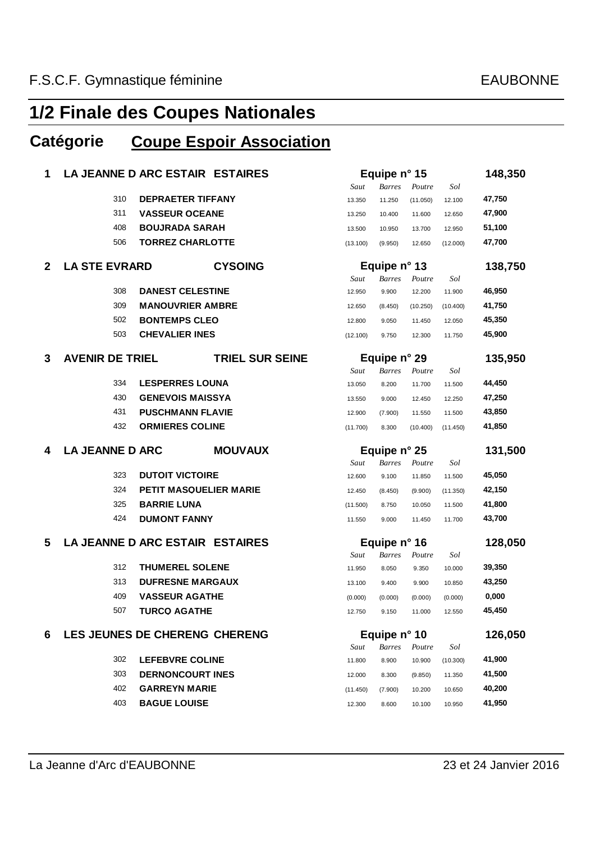### **Catégorie Coupe Espoir Association**

| 1            |                        | LA JEANNE D ARC ESTAIR ESTAIRES             |          | Equipe n° 15  |          |          | 148,350          |
|--------------|------------------------|---------------------------------------------|----------|---------------|----------|----------|------------------|
|              |                        |                                             | Saut     | <b>Barres</b> | Poutre   | Sol      |                  |
|              | 310                    | <b>DEPRAETER TIFFANY</b>                    | 13.350   | 11.250        | (11.050) | 12.100   | 47,750           |
|              | 311                    | <b>VASSEUR OCEANE</b>                       | 13.250   | 10.400        | 11.600   | 12.650   | 47,900           |
|              | 408                    | <b>BOUJRADA SARAH</b>                       | 13.500   | 10.950        | 13.700   | 12.950   | 51,100           |
|              | 506                    | <b>TORREZ CHARLOTTE</b>                     | (13.100) | (9.950)       | 12.650   | (12.000) | 47,700           |
| $\mathbf{2}$ | <b>LA STE EVRARD</b>   | <b>CYSOING</b>                              |          | Equipe n° 13  |          |          | 138,750          |
|              |                        |                                             | Saut     | <b>Barres</b> | Poutre   | Sol      |                  |
|              | 308                    | <b>DANEST CELESTINE</b>                     | 12.950   | 9.900         | 12.200   | 11.900   | 46,950           |
|              | 309                    | <b>MANOUVRIER AMBRE</b>                     | 12.650   | (8.450)       | (10.250) | (10.400) | 41,750           |
|              | 502                    | <b>BONTEMPS CLEO</b>                        | 12.800   | 9.050         | 11.450   | 12.050   | 45,350           |
|              | 503                    | <b>CHEVALIER INES</b>                       | (12.100) | 9.750         | 12.300   | 11.750   | 45,900           |
| 3            | <b>AVENIR DE TRIEL</b> | <b>TRIEL SUR SEINE</b>                      |          | Equipe n° 29  |          |          | 135,950          |
|              |                        |                                             | Saut     | <b>Barres</b> | Poutre   | Sol      |                  |
|              | 334                    | <b>LESPERRES LOUNA</b>                      | 13.050   | 8.200         | 11.700   | 11.500   | 44,450           |
|              | 430                    | <b>GENEVOIS MAISSYA</b>                     | 13.550   | 9.000         | 12.450   | 12.250   | 47,250           |
|              | 431                    | <b>PUSCHMANN FLAVIE</b>                     | 12.900   | (7.900)       | 11.550   | 11.500   | 43,850           |
|              | 432                    | <b>ORMIERES COLINE</b>                      | (11.700) | 8.300         | (10.400) | (11.450) | 41,850           |
|              |                        |                                             |          |               |          |          |                  |
| 4            | <b>LA JEANNE D ARC</b> | <b>MOUVAUX</b>                              |          | Equipe n° 25  |          |          | 131,500          |
|              |                        |                                             | Saut     | <b>Barres</b> | Poutre   | Sol      |                  |
|              | 323                    | <b>DUTOIT VICTOIRE</b>                      | 12.600   | 9.100         | 11.850   | 11.500   | 45,050           |
|              | 324                    | <b>PETIT MASQUELIER MARIE</b>               | 12.450   | (8.450)       | (9.900)  | (11.350) | 42,150           |
|              | 325                    | <b>BARRIE LUNA</b>                          | (11.500) | 8.750         | 10.050   | 11.500   | 41,800           |
|              | 424                    | <b>DUMONT FANNY</b>                         | 11.550   | 9.000         | 11.450   | 11.700   | 43,700           |
| 5            |                        | LA JEANNE D ARC ESTAIR ESTAIRES             |          | Equipe n° 16  |          |          | 128,050          |
|              |                        |                                             | Saut     | <b>Barres</b> | Poutre   | Sol      |                  |
|              | 312                    | <b>THUMEREL SOLENE</b>                      | 11.950   | 8.050         | 9.350    | 10.000   | 39,350           |
|              | 313                    | <b>DUFRESNE MARGAUX</b>                     | 13.100   | 9.400         | 9.900    | 10.850   | 43,250           |
|              | 409                    | <b>VASSEUR AGATHE</b>                       | (0.000)  | (0.000)       | (0.000)  | (0.000)  | 0,000            |
|              | 507                    | <b>TURCQ AGATHE</b>                         | 12.750   | 9.150         | 11.000   | 12.550   | 45,450           |
| 6            |                        | LES JEUNES DE CHERENG CHERENG               |          | Equipe n° 10  |          |          | 126,050          |
|              |                        |                                             | Saut     | <b>Barres</b> | Poutre   | Sol      |                  |
|              | 302                    | <b>LEFEBVRE COLINE</b>                      | 11.800   | 8.900         | 10.900   | (10.300) | 41,900           |
|              | 303                    | <b>DERNONCOURT INES</b>                     | 12.000   | 8.300         | (9.850)  | 11.350   | 41,500           |
|              | 402<br>403             | <b>GARREYN MARIE</b><br><b>BAGUE LOUISE</b> | (11.450) | (7.900)       | 10.200   | 10.650   | 40,200<br>41,950 |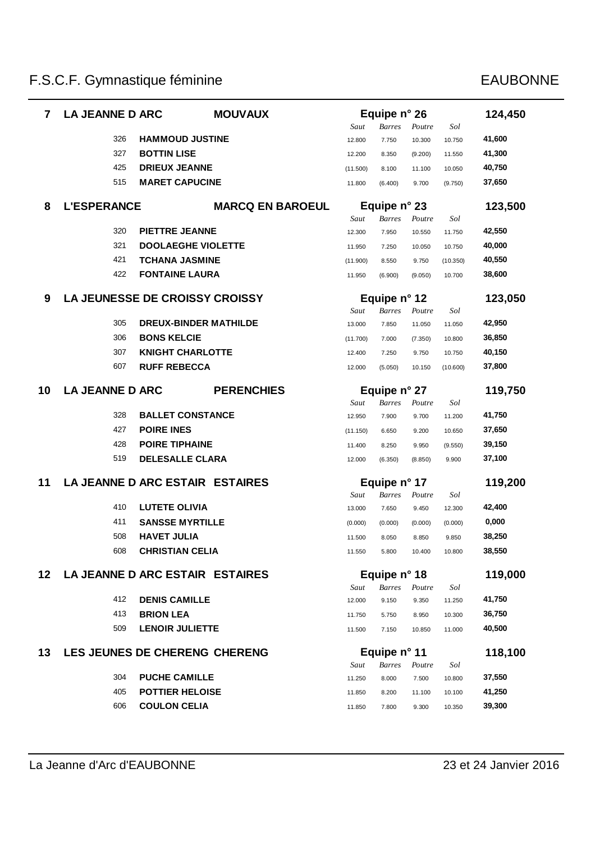| 7               | <b>LA JEANNE D ARC</b> |                        | <b>MOUVAUX</b>                        |          | Equipe n° 26  |         |          | 124,450 |
|-----------------|------------------------|------------------------|---------------------------------------|----------|---------------|---------|----------|---------|
|                 |                        |                        |                                       | Saut     | <b>Barres</b> | Poutre  | Sol      |         |
|                 | 326                    |                        | <b>HAMMOUD JUSTINE</b>                | 12.800   | 7.750         | 10.300  | 10.750   | 41,600  |
|                 | 327                    | <b>BOTTIN LISE</b>     |                                       | 12.200   | 8.350         | (9.200) | 11.550   | 41,300  |
|                 | 425                    | <b>DRIEUX JEANNE</b>   |                                       | (11.500) | 8.100         | 11.100  | 10.050   | 40,750  |
|                 | 515                    |                        | <b>MARET CAPUCINE</b>                 | 11.800   | (6.400)       | 9.700   | (9.750)  | 37,650  |
| 8               | <b>L'ESPERANCE</b>     |                        | <b>MARCQ EN BAROEUL</b>               |          | Equipe n° 23  |         |          | 123,500 |
|                 |                        |                        |                                       | Saut     | <b>Barres</b> | Poutre  | Sol      |         |
|                 | 320                    | <b>PIETTRE JEANNE</b>  |                                       | 12.300   | 7.950         | 10.550  | 11.750   | 42,550  |
|                 | 321                    |                        | <b>DOOLAEGHE VIOLETTE</b>             | 11.950   | 7.250         | 10.050  | 10.750   | 40,000  |
|                 | 421                    |                        | <b>TCHANA JASMINE</b>                 | (11.900) | 8.550         | 9.750   | (10.350) | 40,550  |
|                 | 422                    | <b>FONTAINE LAURA</b>  |                                       | 11.950   | (6.900)       | (9.050) | 10.700   | 38,600  |
| 9               |                        |                        | <b>LA JEUNESSE DE CROISSY CROISSY</b> |          | Equipe n° 12  |         |          | 123,050 |
|                 |                        |                        |                                       | Saut     | <b>Barres</b> | Poutre  | Sol      |         |
|                 | 305                    |                        | <b>DREUX-BINDER MATHILDE</b>          | 13.000   | 7.850         | 11.050  | 11.050   | 42,950  |
|                 | 306                    | <b>BONS KELCIE</b>     |                                       | (11.700) | 7.000         | (7.350) | 10.800   | 36,850  |
|                 | 307                    |                        | <b>KNIGHT CHARLOTTE</b>               | 12.400   | 7.250         | 9.750   | 10.750   | 40,150  |
|                 | 607                    | <b>RUFF REBECCA</b>    |                                       | 12.000   | (5.050)       | 10.150  | (10.600) | 37,800  |
| 10              | <b>LA JEANNE D ARC</b> |                        | <b>PERENCHIES</b>                     |          | Equipe n° 27  |         |          | 119,750 |
|                 |                        |                        |                                       | Saut     | <b>Barres</b> | Poutre  | Sol      |         |
|                 | 328                    |                        | <b>BALLET CONSTANCE</b>               | 12.950   | 7.900         | 9.700   | 11.200   | 41,750  |
|                 | 427                    | <b>POIRE INES</b>      |                                       | (11.150) | 6.650         | 9.200   | 10.650   | 37,650  |
|                 | 428                    | <b>POIRE TIPHAINE</b>  |                                       | 11.400   | 8.250         | 9.950   | (9.550)  | 39,150  |
|                 | 519                    |                        | <b>DELESALLE CLARA</b>                | 12.000   | (6.350)       | (8.850) | 9.900    | 37,100  |
| 11              |                        |                        | LA JEANNE D ARC ESTAIR ESTAIRES       |          | Equipe n° 17  |         |          | 119,200 |
|                 |                        |                        |                                       | Saut     | <b>Barres</b> | Poutre  | Sol      |         |
|                 | 410                    | <b>LUTETE OLIVIA</b>   |                                       | 13.000   | 7.650         | 9.450   | 12.300   | 42,400  |
|                 | 411                    |                        | <b>SANSSE MYRTILLE</b>                | (0.000)  | (0.000)       | (0.000) | (0.000)  | 0,000   |
|                 | 508                    | <b>HAVET JULIA</b>     |                                       | 11.500   | 8.050         | 8.850   | 9.850    | 38,250  |
|                 | 608                    | <b>CHRISTIAN CELIA</b> |                                       | 11.550   | 5.800         | 10.400  | 10.800   | 38,550  |
| 12 <sub>2</sub> |                        |                        | LA JEANNE D ARC ESTAIR ESTAIRES       |          | Equipe n° 18  |         |          | 119,000 |
|                 |                        |                        |                                       | Saut     | <b>Barres</b> | Poutre  | Sol      |         |
|                 | 412                    | <b>DENIS CAMILLE</b>   |                                       | 12.000   | 9.150         | 9.350   | 11.250   | 41,750  |
|                 | 413                    | <b>BRION LEA</b>       |                                       | 11.750   | 5.750         | 8.950   | 10.300   | 36,750  |
|                 | 509                    | <b>LENOIR JULIETTE</b> |                                       | 11.500   | 7.150         | 10.850  | 11.000   | 40,500  |
| 13              |                        |                        | LES JEUNES DE CHERENG CHERENG         |          | Equipe n° 11  |         |          | 118,100 |
|                 |                        |                        |                                       | Saut     | Barres        | Poutre  | Sol      |         |
|                 | 304                    | <b>PUCHE CAMILLE</b>   |                                       | 11.250   | 8.000         | 7.500   | 10.800   | 37,550  |
|                 | 405                    |                        | <b>POTTIER HELOISE</b>                | 11.850   | 8.200         | 11.100  | 10.100   | 41,250  |
|                 | 606                    | <b>COULON CELIA</b>    |                                       | 11.850   | 7.800         | 9.300   | 10.350   | 39,300  |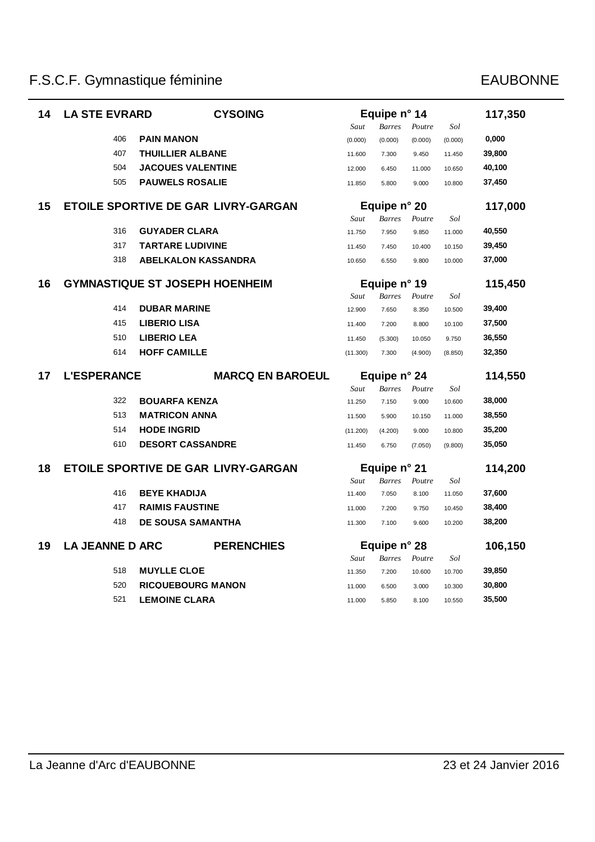| 14 | <b>LA STE EVRARD</b>   | <b>CYSOING</b>                             |          | Equipe n° 14  |               |         | 117,350 |
|----|------------------------|--------------------------------------------|----------|---------------|---------------|---------|---------|
|    |                        |                                            | Saut     | <b>Barres</b> | Poutre        | Sol     |         |
|    | 406                    | <b>PAIN MANON</b>                          | (0.000)  | (0.000)       | (0.000)       | (0.000) | 0,000   |
|    | 407                    | <b>THUILLIER ALBANE</b>                    | 11.600   | 7.300         | 9.450         | 11.450  | 39,800  |
|    | 504                    | <b>JACQUES VALENTINE</b>                   | 12.000   | 6.450         | 11.000        | 10.650  | 40,100  |
|    | 505                    | <b>PAUWELS ROSALIE</b>                     | 11.850   | 5.800         | 9.000         | 10.800  | 37,450  |
| 15 |                        | <b>ETOILE SPORTIVE DE GAR LIVRY-GARGAN</b> |          | Equipe n° 20  |               |         | 117,000 |
|    |                        |                                            | Saut     | <b>Barres</b> | $\it Fourier$ | Sol     |         |
|    | 316                    | <b>GUYADER CLARA</b>                       | 11.750   | 7.950         | 9.850         | 11.000  | 40,550  |
|    | 317                    | <b>TARTARE LUDIVINE</b>                    | 11.450   | 7.450         | 10.400        | 10.150  | 39,450  |
|    | 318                    | <b>ABELKALON KASSANDRA</b>                 | 10.650   | 6.550         | 9.800         | 10.000  | 37,000  |
| 16 |                        | <b>GYMNASTIQUE ST JOSEPH HOENHEIM</b>      |          | Equipe n° 19  |               |         | 115,450 |
|    |                        |                                            | Saut     | <b>Barres</b> | Poutre        | Sol     |         |
|    | 414                    | <b>DUBAR MARINE</b>                        | 12.900   | 7.650         | 8.350         | 10.500  | 39,400  |
|    | 415                    | <b>LIBERIO LISA</b>                        | 11.400   | 7.200         | 8.800         | 10.100  | 37,500  |
|    | 510                    | <b>LIBERIO LEA</b>                         | 11.450   | (5.300)       | 10.050        | 9.750   | 36,550  |
|    | 614                    | <b>HOFF CAMILLE</b>                        | (11.300) | 7.300         | (4.900)       | (8.850) | 32,350  |
| 17 | <b>L'ESPERANCE</b>     | <b>MARCQ EN BAROEUL</b>                    |          | Equipe n° 24  |               |         | 114,550 |
|    |                        |                                            | Saut     | <b>Barres</b> | Poutre        | Sol     |         |
|    | 322                    | <b>BOUARFA KENZA</b>                       | 11.250   | 7.150         | 9.000         | 10.600  | 38,000  |
|    | 513                    | <b>MATRICON ANNA</b>                       | 11.500   | 5.900         | 10.150        | 11.000  | 38,550  |
|    | 514                    | <b>HODE INGRID</b>                         | (11.200) | (4.200)       | 9.000         | 10.800  | 35,200  |
|    | 610                    | <b>DESORT CASSANDRE</b>                    | 11.450   | 6.750         | (7.050)       | (9.800) | 35,050  |
| 18 |                        | <b>ETOILE SPORTIVE DE GAR LIVRY-GARGAN</b> |          | Equipe n° 21  |               |         | 114,200 |
|    |                        |                                            | Saut     | <b>Barres</b> | Poutre        | Sol     |         |
|    | 416                    | <b>BEYE KHADIJA</b>                        | 11.400   | 7.050         | 8.100         | 11.050  | 37,600  |
|    | 417                    | <b>RAIMIS FAUSTINE</b>                     | 11.000   | 7.200         | 9.750         | 10.450  | 38,400  |
|    | 418                    | <b>DE SOUSA SAMANTHA</b>                   | 11.300   | 7.100         | 9.600         | 10.200  | 38,200  |
| 19 | <b>LA JEANNE D ARC</b> | <b>PERENCHIES</b>                          |          | Equipe n° 28  |               |         | 106,150 |
|    |                        |                                            | Saut     | <b>Barres</b> | Poutre        | Sol     |         |
|    | 518                    | <b>MUYLLE CLOE</b>                         | 11.350   | 7.200         | 10.600        | 10.700  | 39,850  |
|    | 520                    | <b>RICQUEBOURG MANON</b>                   | 11.000   | 6.500         | 3.000         | 10.300  | 30,800  |
|    | 521                    | <b>LEMOINE CLARA</b>                       | 11.000   | 5.850         | 8.100         | 10.550  | 35,500  |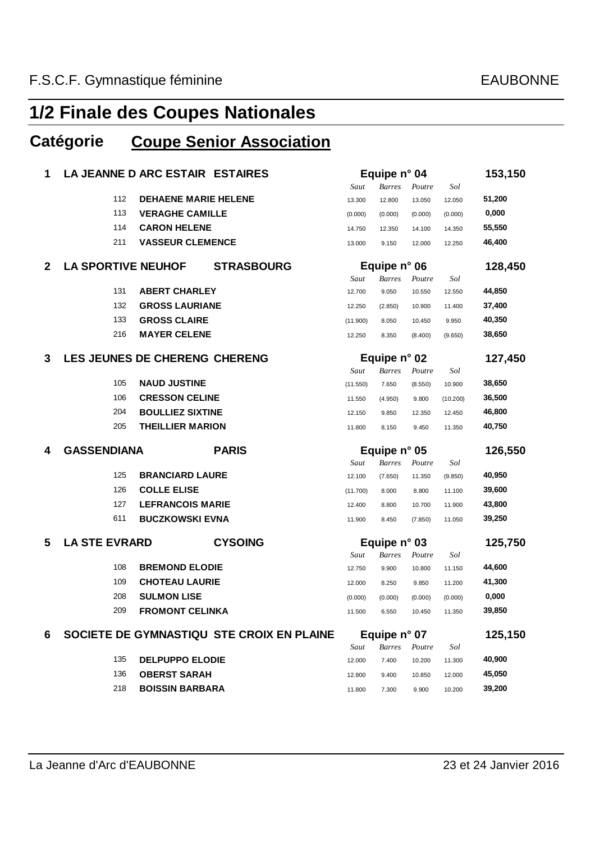### **Catégorie Coupe Senior Association**

| 1            |                           | LA JEANNE D ARC ESTAIR ESTAIRES |                                           |          | Equipe n° 04  |         |          | 153,150 |
|--------------|---------------------------|---------------------------------|-------------------------------------------|----------|---------------|---------|----------|---------|
|              |                           |                                 |                                           | Saut     | <b>Barres</b> | Poutre  | Sol      |         |
|              | 112                       | <b>DEHAENE MARIE HELENE</b>     |                                           | 13.300   | 12.800        | 13.050  | 12.050   | 51,200  |
|              | 113                       | <b>VERAGHE CAMILLE</b>          |                                           | (0.000)  | (0.000)       | (0.000) | (0.000)  | 0,000   |
|              | 114                       | <b>CARON HELENE</b>             |                                           | 14.750   | 12.350        | 14.100  | 14.350   | 55,550  |
|              | 211                       | <b>VASSEUR CLEMENCE</b>         |                                           | 13.000   | 9.150         | 12.000  | 12.250   | 46,400  |
| $\mathbf{2}$ | <b>LA SPORTIVE NEUHOF</b> |                                 | <b>STRASBOURG</b>                         |          | Equipe n° 06  |         |          | 128,450 |
|              |                           |                                 |                                           | Saut     | <b>Barres</b> | Poutre  | Sol      |         |
|              | 131                       | <b>ABERT CHARLEY</b>            |                                           | 12.700   | 9.050         | 10.550  | 12.550   | 44,850  |
|              | 132                       | <b>GROSS LAURIANE</b>           |                                           | 12.250   | (2.850)       | 10.900  | 11.400   | 37,400  |
|              | 133                       | <b>GROSS CLAIRE</b>             |                                           | (11.900) | 8.050         | 10.450  | 9.950    | 40,350  |
|              | 216                       | <b>MAYER CELENE</b>             |                                           | 12.250   | 8.350         | (8.400) | (9.650)  | 38,650  |
| 3            |                           | LES JEUNES DE CHERENG CHERENG   |                                           |          | Equipe n° 02  |         |          | 127,450 |
|              |                           |                                 |                                           | Saut     | <b>Barres</b> | Poutre  | Sol      |         |
|              | 105                       | <b>NAUD JUSTINE</b>             |                                           | (11.550) | 7.650         | (8.550) | 10.900   | 38,650  |
|              | 106                       | <b>CRESSON CELINE</b>           |                                           | 11.550   | (4.950)       | 9.800   | (10.200) | 36,500  |
|              | 204                       | <b>BOULLIEZ SIXTINE</b>         |                                           | 12.150   | 9.850         | 12.350  | 12.450   | 46,800  |
|              | 205                       | <b>THEILLIER MARION</b>         |                                           | 11.800   | 8.150         | 9.450   | 11.350   | 40,750  |
|              |                           |                                 |                                           |          |               |         |          |         |
| 4            | <b>GASSENDIANA</b>        |                                 | <b>PARIS</b>                              |          | Equipe n° 05  |         |          | 126,550 |
|              |                           |                                 |                                           | Saut     | <b>Barres</b> | Poutre  | Sol      |         |
|              | 125                       | <b>BRANCIARD LAURE</b>          |                                           | 12.100   | (7.650)       | 11.350  | (9.850)  | 40,950  |
|              | 126                       | <b>COLLE ELISE</b>              |                                           | (11.700) | 8.000         | 8.800   | 11.100   | 39,600  |
|              | 127                       | <b>LEFRANCOIS MARIE</b>         |                                           | 12.400   | 8.800         | 10.700  | 11.900   | 43,800  |
|              | 611                       | <b>BUCZKOWSKI EVNA</b>          |                                           | 11.900   | 8.450         | (7.850) | 11.050   | 39,250  |
| 5            | <b>LA STE EVRARD</b>      |                                 | <b>CYSOING</b>                            |          | Equipe n° 03  |         |          | 125,750 |
|              |                           |                                 |                                           | Saut     | <b>Barres</b> | Poutre  | Sol      |         |
|              | 108                       | <b>BREMOND ELODIE</b>           |                                           | 12.750   | 9.900         | 10.800  | 11.150   | 44,600  |
|              | 109                       | <b>CHOTEAU LAURIE</b>           |                                           | 12.000   | 8.250         | 9.850   | 11.200   | 41,300  |
|              | 208                       | <b>SULMON LISE</b>              |                                           | (0.000)  | (0.000)       | (0.000) | (0.000)  | 0,000   |
|              | 209                       | <b>FROMONT CELINKA</b>          |                                           | 11.500   | 6.550         | 10.450  | 11.350   | 39,850  |
| 6            |                           |                                 | SOCIETE DE GYMNASTIQU STE CROIX EN PLAINE |          | Equipe n° 07  |         |          | 125,150 |
|              |                           |                                 |                                           | Saut     | <b>Barres</b> | Poutre  | Sol      |         |
|              | 135                       | <b>DELPUPPO ELODIE</b>          |                                           | 12.000   | 7.400         | 10.200  | 11.300   | 40,900  |
|              | 136                       | <b>OBERST SARAH</b>             |                                           | 12.800   | 9.400         | 10.850  | 12.000   | 45,050  |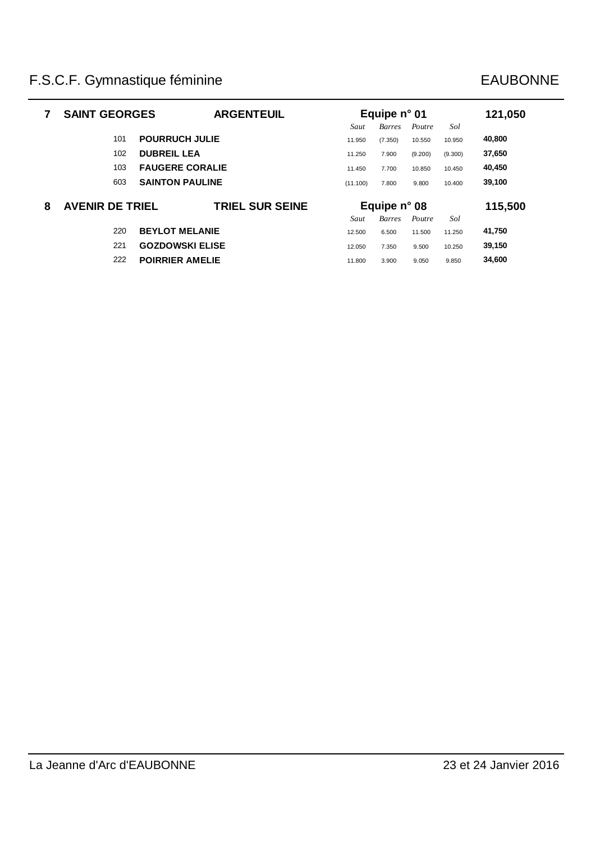|   | <b>SAINT GEORGES</b>   | <b>ARGENTEUIL</b>      |          | Equipe $n^{\circ}$ 01 |         |         | 121,050 |
|---|------------------------|------------------------|----------|-----------------------|---------|---------|---------|
|   |                        |                        | Saut     | <b>Barres</b>         | Poutre  | Sol     |         |
|   | 101                    | <b>POURRUCH JULIE</b>  | 11.950   | (7.350)               | 10.550  | 10.950  | 40,800  |
|   | 102                    | <b>DUBREIL LEA</b>     | 11.250   | 7.900                 | (9.200) | (9.300) | 37,650  |
|   | 103                    | <b>FAUGERE CORALIE</b> | 11.450   | 7.700                 | 10.850  | 10.450  | 40,450  |
|   | 603                    | <b>SAINTON PAULINE</b> | (11.100) | 7.800                 | 9.800   | 10.400  | 39,100  |
| 8 | <b>AVENIR DE TRIEL</b> | <b>TRIEL SUR SEINE</b> |          | Equipe $n^{\circ}$ 08 |         |         | 115,500 |
|   |                        |                        | Saut     | Barres                | Poutre  | Sol     |         |
|   | 220                    | <b>BEYLOT MELANIE</b>  | 12.500   | 6.500                 | 11.500  | 11.250  | 41,750  |
|   | 221                    | <b>GOZDOWSKI ELISE</b> | 12.050   | 7.350                 | 9.500   | 10.250  | 39,150  |
|   | 222                    | <b>POIRRIER AMELIE</b> | 11.800   | 3.900                 | 9.050   | 9.850   | 34,600  |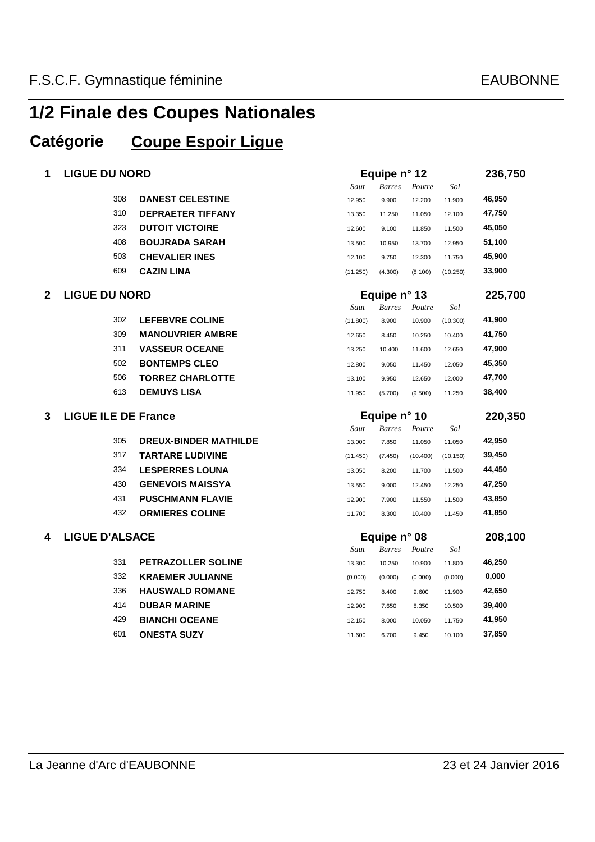### **Catégorie Coupe Espoir Ligue**

| 1              | <b>LIGUE DU NORD</b>       |                              |          | Equipe n° 12  |          |          |         |  |
|----------------|----------------------------|------------------------------|----------|---------------|----------|----------|---------|--|
|                |                            |                              | Saut     | <b>Barres</b> | Poutre   | Sol      |         |  |
|                | 308                        | <b>DANEST CELESTINE</b>      | 12.950   | 9.900         | 12.200   | 11.900   | 46,950  |  |
|                | 310                        | <b>DEPRAETER TIFFANY</b>     | 13.350   | 11.250        | 11.050   | 12.100   | 47,750  |  |
|                | 323                        | <b>DUTOIT VICTOIRE</b>       | 12.600   | 9.100         | 11.850   | 11.500   | 45,050  |  |
|                | 408                        | <b>BOUJRADA SARAH</b>        | 13.500   | 10.950        | 13.700   | 12.950   | 51,100  |  |
|                | 503                        | <b>CHEVALIER INES</b>        | 12.100   | 9.750         | 12.300   | 11.750   | 45,900  |  |
|                | 609                        | <b>CAZIN LINA</b>            | (11.250) | (4.300)       | (8.100)  | (10.250) | 33,900  |  |
| $\overline{2}$ | <b>LIGUE DU NORD</b>       |                              |          | Equipe n° 13  |          |          | 225,700 |  |
|                |                            |                              | Saut     | <b>Barres</b> | Poutre   | Sol      |         |  |
|                | 302                        | <b>LEFEBVRE COLINE</b>       | (11.800) | 8.900         | 10.900   | (10.300) | 41,900  |  |
|                | 309                        | <b>MANOUVRIER AMBRE</b>      | 12.650   | 8.450         | 10.250   | 10.400   | 41,750  |  |
|                | 311                        | <b>VASSEUR OCEANE</b>        | 13.250   | 10.400        | 11.600   | 12.650   | 47,900  |  |
|                | 502                        | <b>BONTEMPS CLEO</b>         | 12.800   | 9.050         | 11.450   | 12.050   | 45,350  |  |
|                | 506                        | <b>TORREZ CHARLOTTE</b>      | 13.100   | 9.950         | 12.650   | 12.000   | 47,700  |  |
|                | 613                        | <b>DEMUYS LISA</b>           | 11.950   | (5.700)       | (9.500)  | 11.250   | 38,400  |  |
|                |                            |                              |          |               |          |          |         |  |
| 3              | <b>LIGUE ILE DE France</b> |                              |          | Equipe n° 10  |          |          | 220,350 |  |
|                |                            |                              | Saut     | <b>Barres</b> | Poutre   | Sol      |         |  |
|                | 305                        | <b>DREUX-BINDER MATHILDE</b> | 13.000   | 7.850         | 11.050   | 11.050   | 42,950  |  |
|                | 317                        | <b>TARTARE LUDIVINE</b>      | (11.450) | (7.450)       | (10.400) | (10.150) | 39,450  |  |
|                | 334                        | <b>LESPERRES LOUNA</b>       | 13.050   | 8.200         | 11.700   | 11.500   | 44,450  |  |
|                | 430                        | <b>GENEVOIS MAISSYA</b>      | 13.550   | 9.000         | 12.450   | 12.250   | 47,250  |  |
|                | 431                        | <b>PUSCHMANN FLAVIE</b>      | 12.900   | 7.900         | 11.550   | 11.500   | 43,850  |  |
|                | 432                        | <b>ORMIERES COLINE</b>       | 11.700   | 8.300         | 10.400   | 11.450   | 41,850  |  |
| 4              | <b>LIGUE D'ALSACE</b>      |                              |          | Equipe n° 08  |          |          | 208,100 |  |
|                |                            |                              | Saut     | <b>Barres</b> | Poutre   | Sol      |         |  |
|                | 331                        | <b>PETRAZOLLER SOLINE</b>    | 13.300   | 10.250        | 10.900   | 11.800   | 46,250  |  |
|                | 332                        | <b>KRAEMER JULIANNE</b>      | (0.000)  | (0.000)       | (0.000)  | (0.000)  | 0,000   |  |
|                | 336                        | <b>HAUSWALD ROMANE</b>       | 12.750   | 8.400         | 9.600    | 11.900   | 42,650  |  |
|                | 414                        | <b>DUBAR MARINE</b>          | 12.900   | 7.650         | 8.350    | 10.500   | 39,400  |  |
|                | 429                        | <b>BIANCHI OCEANE</b>        | 12.150   | 8.000         | 10.050   | 11.750   | 41,950  |  |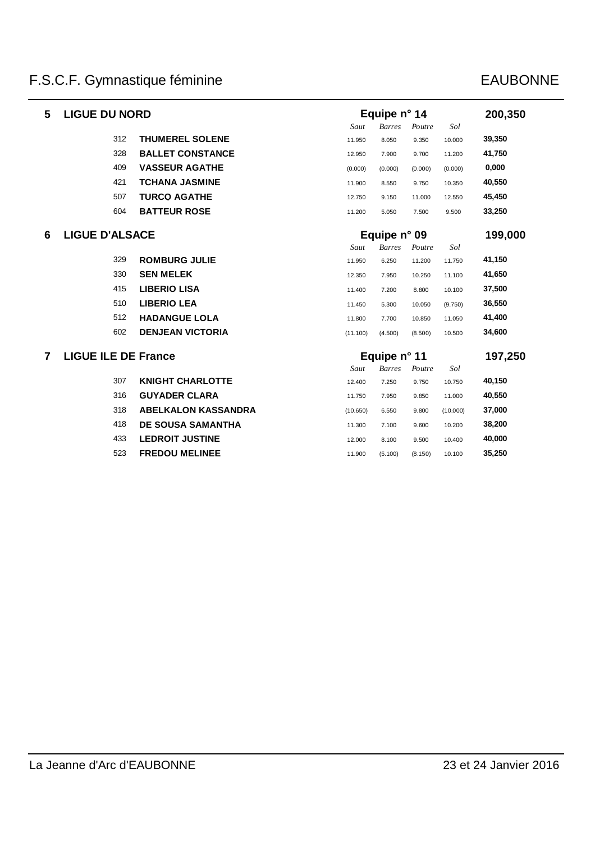| 5              | <b>LIGUE DU NORD</b>       |                            |          | Equipe n° 14  |         |          | 200,350 |
|----------------|----------------------------|----------------------------|----------|---------------|---------|----------|---------|
|                |                            |                            | Saut     | <b>Barres</b> | Poutre  | Sol      |         |
|                | 312                        | <b>THUMEREL SOLENE</b>     | 11.950   | 8.050         | 9.350   | 10.000   | 39,350  |
|                | 328                        | <b>BALLET CONSTANCE</b>    | 12.950   | 7.900         | 9.700   | 11.200   | 41,750  |
|                | 409                        | <b>VASSEUR AGATHE</b>      | (0.000)  | (0.000)       | (0.000) | (0.000)  | 0,000   |
|                | 421                        | <b>TCHANA JASMINE</b>      | 11.900   | 8.550         | 9.750   | 10.350   | 40,550  |
|                | 507                        | <b>TURCQ AGATHE</b>        | 12.750   | 9.150         | 11.000  | 12.550   | 45,450  |
|                | 604                        | <b>BATTEUR ROSE</b>        | 11.200   | 5.050         | 7.500   | 9.500    | 33,250  |
| 6              | <b>LIGUE D'ALSACE</b>      |                            |          | Equipe n° 09  |         |          | 199,000 |
|                |                            |                            | Saut     | <b>Barres</b> | Poutre  | Sol      |         |
|                | 329                        | <b>ROMBURG JULIE</b>       | 11.950   | 6.250         | 11.200  | 11.750   | 41,150  |
|                | 330                        | <b>SEN MELEK</b>           | 12.350   | 7.950         | 10.250  | 11.100   | 41,650  |
|                | 415                        | <b>LIBERIO LISA</b>        | 11.400   | 7.200         | 8.800   | 10.100   | 37,500  |
|                | 510                        | <b>LIBERIO LEA</b>         | 11.450   | 5.300         | 10.050  | (9.750)  | 36,550  |
|                | 512                        | <b>HADANGUE LOLA</b>       | 11.800   | 7.700         | 10.850  | 11.050   | 41,400  |
|                | 602                        | <b>DENJEAN VICTORIA</b>    | (11.100) | (4.500)       | (8.500) | 10.500   | 34,600  |
| $\overline{7}$ | <b>LIGUE ILE DE France</b> |                            |          | Equipe n° 11  |         |          | 197,250 |
|                |                            |                            | Saut     | <b>Barres</b> | Poutre  | Sol      |         |
|                | 307                        | <b>KNIGHT CHARLOTTE</b>    | 12.400   | 7.250         | 9.750   | 10.750   | 40,150  |
|                | 316                        | <b>GUYADER CLARA</b>       | 11.750   | 7.950         | 9.850   | 11.000   | 40,550  |
|                | 318                        | <b>ABELKALON KASSANDRA</b> | (10.650) | 6.550         | 9.800   | (10.000) | 37,000  |
|                | 418                        | <b>DE SOUSA SAMANTHA</b>   | 11.300   | 7.100         | 9.600   | 10.200   | 38,200  |
|                | 433                        | <b>LEDROIT JUSTINE</b>     | 12.000   | 8.100         | 9.500   | 10.400   | 40,000  |
|                | 523                        | <b>FREDOU MELINEE</b>      | 11.900   | (5.100)       | (8.150) | 10.100   | 35,250  |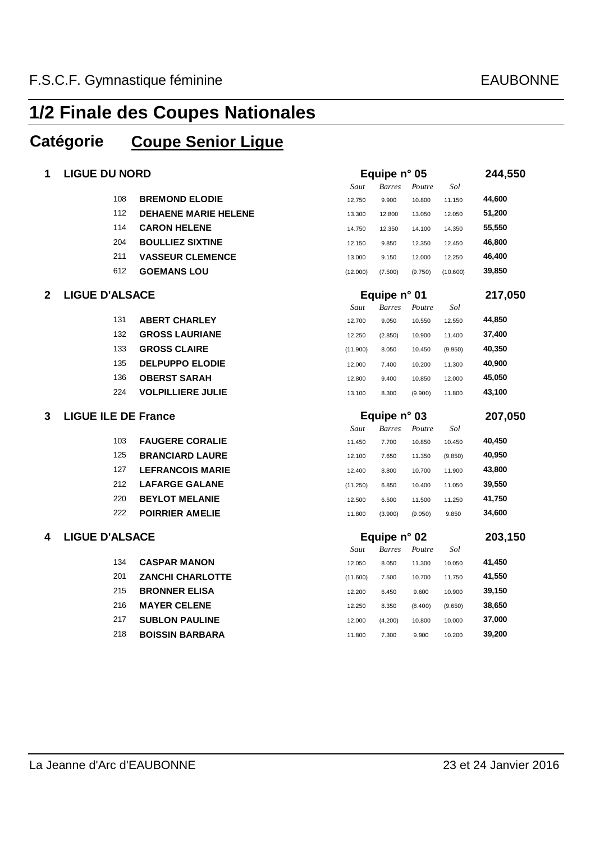### **Catégorie Coupe Senior Ligue**

| 1            | <b>LIGUE DU NORD</b>       |                             | Equipe n° 05 |               |         |          | 244,550 |
|--------------|----------------------------|-----------------------------|--------------|---------------|---------|----------|---------|
|              |                            |                             | Saut         | <b>Barres</b> | Poutre  | Sol      |         |
|              | 108                        | <b>BREMOND ELODIE</b>       | 12.750       | 9.900         | 10.800  | 11.150   | 44,600  |
|              | 112                        | <b>DEHAENE MARIE HELENE</b> | 13.300       | 12.800        | 13.050  | 12.050   | 51,200  |
|              | 114                        | <b>CARON HELENE</b>         | 14.750       | 12.350        | 14.100  | 14.350   | 55,550  |
|              | 204                        | <b>BOULLIEZ SIXTINE</b>     | 12.150       | 9.850         | 12.350  | 12.450   | 46,800  |
|              | 211                        | <b>VASSEUR CLEMENCE</b>     | 13.000       | 9.150         | 12.000  | 12.250   | 46,400  |
|              | 612                        | <b>GOEMANS LOU</b>          | (12.000)     | (7.500)       | (9.750) | (10.600) | 39,850  |
| $\mathbf{2}$ | <b>LIGUE D'ALSACE</b>      |                             | Equipe n° 01 |               |         |          | 217,050 |
|              |                            |                             | Saut         | <b>Barres</b> | Poutre  | Sol      |         |
|              | 131                        | <b>ABERT CHARLEY</b>        | 12.700       | 9.050         | 10.550  | 12.550   | 44,850  |
|              | 132                        | <b>GROSS LAURIANE</b>       | 12.250       | (2.850)       | 10.900  | 11.400   | 37,400  |
|              | 133                        | <b>GROSS CLAIRE</b>         | (11.900)     | 8.050         | 10.450  | (9.950)  | 40,350  |
|              | 135                        | <b>DELPUPPO ELODIE</b>      | 12.000       | 7.400         | 10.200  | 11.300   | 40,900  |
|              | 136                        | <b>OBERST SARAH</b>         | 12.800       | 9.400         | 10.850  | 12.000   | 45,050  |
|              | 224                        | <b>VOLPILLIERE JULIE</b>    | 13.100       | 8.300         | (9.900) | 11.800   | 43,100  |
|              |                            |                             | Equipe n° 03 |               |         |          |         |
| 3            | <b>LIGUE ILE DE France</b> |                             |              |               |         |          | 207,050 |
|              |                            |                             | Saut         | <b>Barres</b> | Poutre  | Sol      |         |
|              | 103                        | <b>FAUGERE CORALIE</b>      | 11.450       | 7.700         | 10.850  | 10.450   | 40,450  |
|              | 125                        | <b>BRANCIARD LAURE</b>      | 12.100       | 7.650         | 11.350  | (9.850)  | 40,950  |
|              | 127                        | <b>LEFRANCOIS MARIE</b>     | 12.400       | 8.800         | 10.700  | 11.900   | 43,800  |
|              | 212                        | <b>LAFARGE GALANE</b>       | (11.250)     | 6.850         | 10.400  | 11.050   | 39,550  |
|              | 220                        | <b>BEYLOT MELANIE</b>       | 12.500       | 6.500         | 11.500  | 11.250   | 41,750  |
|              | 222                        | <b>POIRRIER AMELIE</b>      | 11.800       | (3.900)       | (9.050) | 9.850    | 34,600  |
| 4            | <b>LIGUE D'ALSACE</b>      |                             |              | Equipe n° 02  |         |          | 203,150 |
|              |                            |                             | Saut         | <b>Barres</b> | Poutre  | Sol      |         |
|              | 134                        | <b>CASPAR MANON</b>         | 12.050       | 8.050         | 11.300  | 10.050   | 41,450  |
|              | 201                        | <b>ZANCHI CHARLOTTE</b>     | (11.600)     | 7.500         | 10.700  | 11.750   | 41,550  |
|              | 215                        | <b>BRONNER ELISA</b>        | 12.200       | 6.450         | 9.600   | 10.900   | 39,150  |
|              | 216                        | <b>MAYER CELENE</b>         | 12.250       | 8.350         | (8.400) | (9.650)  | 38,650  |
|              | 217                        | <b>SUBLON PAULINE</b>       | 12.000       | (4.200)       | 10.800  | 10.000   | 37,000  |